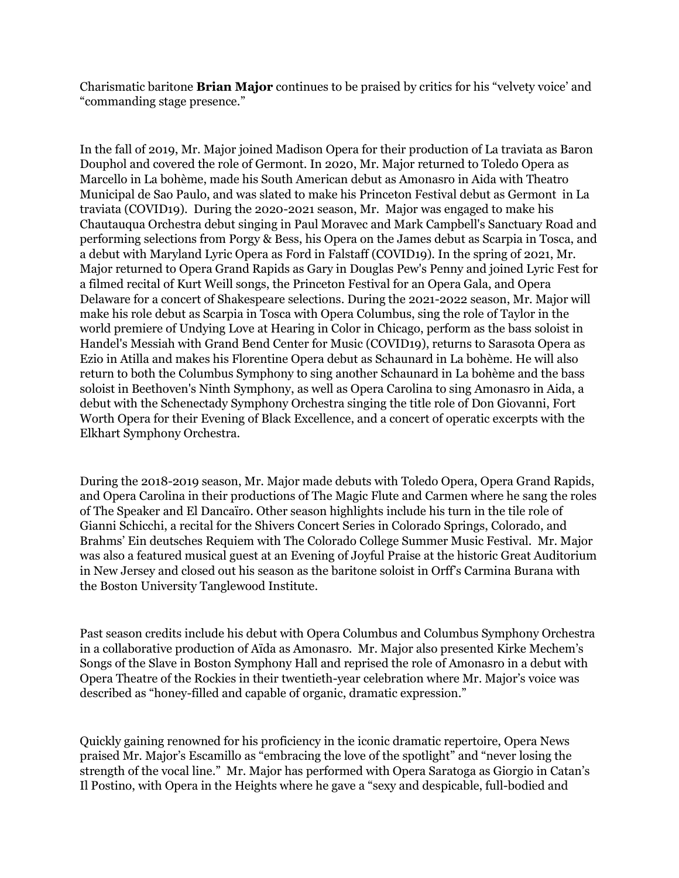Charismatic baritone **Brian Major** continues to be praised by critics for his "velvety voice' and "commanding stage presence."

In the fall of 2019, Mr. Major joined Madison Opera for their production of La traviata as Baron Douphol and covered the role of Germont. In 2020, Mr. Major returned to Toledo Opera as Marcello in La bohème, made his South American debut as Amonasro in Aida with Theatro Municipal de Sao Paulo, and was slated to make his Princeton Festival debut as Germont in La traviata (COVID19). During the 2020-2021 season, Mr. Major was engaged to make his Chautauqua Orchestra debut singing in Paul Moravec and Mark Campbell's Sanctuary Road and performing selections from Porgy & Bess, his Opera on the James debut as Scarpia in Tosca, and a debut with Maryland Lyric Opera as Ford in Falstaff (COVID19). In the spring of 2021, Mr. Major returned to Opera Grand Rapids as Gary in Douglas Pew's Penny and joined Lyric Fest for a filmed recital of Kurt Weill songs, the Princeton Festival for an Opera Gala, and Opera Delaware for a concert of Shakespeare selections. During the 2021-2022 season, Mr. Major will make his role debut as Scarpia in Tosca with Opera Columbus, sing the role of Taylor in the world premiere of Undying Love at Hearing in Color in Chicago, perform as the bass soloist in Handel's Messiah with Grand Bend Center for Music (COVID19), returns to Sarasota Opera as Ezio in Atilla and makes his Florentine Opera debut as Schaunard in La bohème. He will also return to both the Columbus Symphony to sing another Schaunard in La bohème and the bass soloist in Beethoven's Ninth Symphony, as well as Opera Carolina to sing Amonasro in Aida, a debut with the Schenectady Symphony Orchestra singing the title role of Don Giovanni, Fort Worth Opera for their Evening of Black Excellence, and a concert of operatic excerpts with the Elkhart Symphony Orchestra.

During the 2018-2019 season, Mr. Major made debuts with Toledo Opera, Opera Grand Rapids, and Opera Carolina in their productions of The Magic Flute and Carmen where he sang the roles of The Speaker and El Dancaïro. Other season highlights include his turn in the tile role of Gianni Schicchi, a recital for the Shivers Concert Series in Colorado Springs, Colorado, and Brahms' Ein deutsches Requiem with The Colorado College Summer Music Festival. Mr. Major was also a featured musical guest at an Evening of Joyful Praise at the historic Great Auditorium in New Jersey and closed out his season as the baritone soloist in Orff's Carmina Burana with the Boston University Tanglewood Institute.

Past season credits include his debut with Opera Columbus and Columbus Symphony Orchestra in a collaborative production of Aïda as Amonasro. Mr. Major also presented Kirke Mechem's Songs of the Slave in Boston Symphony Hall and reprised the role of Amonasro in a debut with Opera Theatre of the Rockies in their twentieth-year celebration where Mr. Major's voice was described as "honey-filled and capable of organic, dramatic expression."

Quickly gaining renowned for his proficiency in the iconic dramatic repertoire, Opera News praised Mr. Major's Escamillo as "embracing the love of the spotlight" and "never losing the strength of the vocal line." Mr. Major has performed with Opera Saratoga as Giorgio in Catan's Il Postino, with Opera in the Heights where he gave a "sexy and despicable, full-bodied and